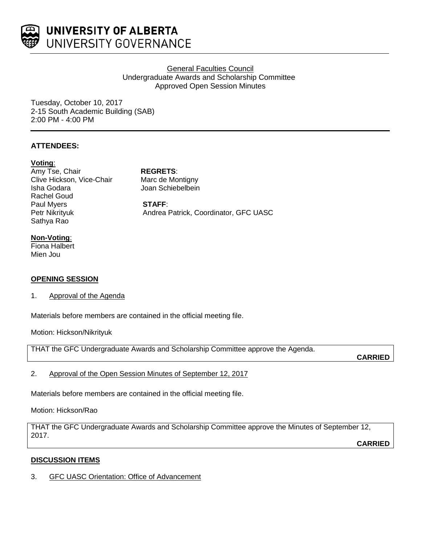

# General Faculties Council Undergraduate Awards and Scholarship Committee Approved Open Session Minutes

Tuesday, October 10, 2017 2-15 South Academic Building (SAB) 2:00 PM - 4:00 PM

# **ATTENDEES:**

### **Voting**:

Amy Tse, Chair **REGRETS**: Clive Hickson, Vice-Chair Marc de Montigny Isha Godara Joan Schiebelbein Rachel Goud Paul Myers **STAFF**:<br>
Petr Nikrityuk **Meta** Andrea Sathya Rao

Andrea Patrick, Coordinator, GFC UASC

# **Non-Voting**:

Fiona Halbert Mien Jou

# **OPENING SESSION**

1. Approval of the Agenda

Materials before members are contained in the official meeting file.

Motion: Hickson/Nikrityuk

THAT the GFC Undergraduate Awards and Scholarship Committee approve the Agenda.

**CARRIED**

2. Approval of the Open Session Minutes of September 12, 2017

Materials before members are contained in the official meeting file.

# Motion: Hickson/Rao

THAT the GFC Undergraduate Awards and Scholarship Committee approve the Minutes of September 12, 2017.

**CARRIED**

# **DISCUSSION ITEMS**

3. GFC UASC Orientation: Office of Advancement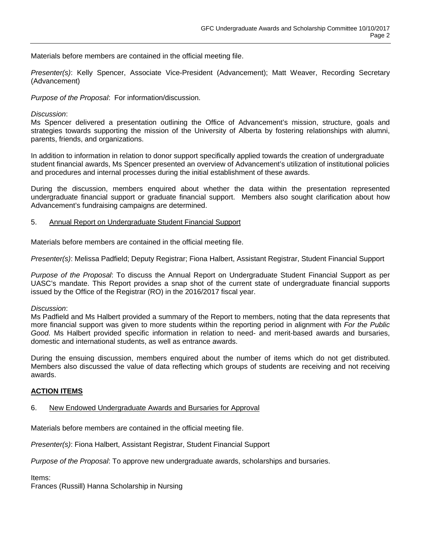Materials before members are contained in the official meeting file.

*Presenter(s)*: Kelly Spencer, Associate Vice-President (Advancement); Matt Weaver, Recording Secretary (Advancement)

*Purpose of the Proposal*: For information/discussion.

### *Discussion*:

Ms Spencer delivered a presentation outlining the Office of Advancement's mission, structure, goals and strategies towards supporting the mission of the University of Alberta by fostering relationships with alumni, parents, friends, and organizations.

In addition to information in relation to donor support specifically applied towards the creation of undergraduate student financial awards, Ms Spencer presented an overview of Advancement's utilization of institutional policies and procedures and internal processes during the initial establishment of these awards.

During the discussion, members enquired about whether the data within the presentation represented undergraduate financial support or graduate financial support. Members also sought clarification about how Advancement's fundraising campaigns are determined.

### 5. Annual Report on Undergraduate Student Financial Support

Materials before members are contained in the official meeting file.

*Presenter(s)*: Melissa Padfield; Deputy Registrar; Fiona Halbert, Assistant Registrar, Student Financial Support

*Purpose of the Proposal*: To discuss the Annual Report on Undergraduate Student Financial Support as per UASC's mandate. This Report provides a snap shot of the current state of undergraduate financial supports issued by the Office of the Registrar (RO) in the 2016/2017 fiscal year.

#### *Discussion*:

Ms Padfield and Ms Halbert provided a summary of the Report to members, noting that the data represents that more financial support was given to more students within the reporting period in alignment with *For the Public Good.* Ms Halbert provided specific information in relation to need- and merit-based awards and bursaries, domestic and international students, as well as entrance awards.

During the ensuing discussion, members enquired about the number of items which do not get distributed. Members also discussed the value of data reflecting which groups of students are receiving and not receiving awards.

# **ACTION ITEMS**

6. New Endowed Undergraduate Awards and Bursaries for Approval

Materials before members are contained in the official meeting file.

*Presenter(s)*: Fiona Halbert, Assistant Registrar, Student Financial Support

*Purpose of the Proposal*: To approve new undergraduate awards, scholarships and bursaries.

Items:

Frances (Russill) Hanna Scholarship in Nursing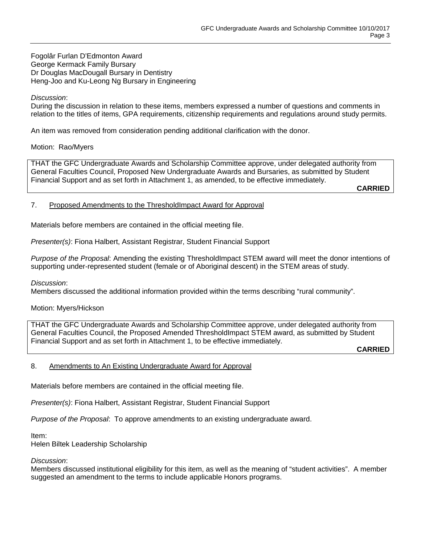Fogolâr Furlan D'Edmonton Award George Kermack Family Bursary Dr Douglas MacDougall Bursary in Dentistry Heng-Joo and Ku-Leong Ng Bursary in Engineering

## *Discussion*:

During the discussion in relation to these items, members expressed a number of questions and comments in relation to the titles of items, GPA requirements, citizenship requirements and regulations around study permits.

An item was removed from consideration pending additional clarification with the donor.

### Motion: Rao/Myers

THAT the GFC Undergraduate Awards and Scholarship Committee approve, under delegated authority from General Faculties Council, Proposed New Undergraduate Awards and Bursaries, as submitted by Student Financial Support and as set forth in Attachment 1, as amended, to be effective immediately.

**CARRIED**

#### 7. Proposed Amendments to the ThresholdImpact Award for Approval

Materials before members are contained in the official meeting file.

*Presenter(s)*: Fiona Halbert, Assistant Registrar, Student Financial Support

*Purpose of the Proposal*: Amending the existing ThresholdImpact STEM award will meet the donor intentions of supporting under-represented student (female or of Aboriginal descent) in the STEM areas of study.

*Discussion*:

Members discussed the additional information provided within the terms describing "rural community".

# Motion: Myers/Hickson

THAT the GFC Undergraduate Awards and Scholarship Committee approve, under delegated authority from General Faculties Council, the Proposed Amended ThresholdImpact STEM award, as submitted by Student Financial Support and as set forth in Attachment 1, to be effective immediately.

**CARRIED**

#### 8. Amendments to An Existing Undergraduate Award for Approval

Materials before members are contained in the official meeting file.

*Presenter(s)*: Fiona Halbert, Assistant Registrar, Student Financial Support

*Purpose of the Proposal*: To approve amendments to an existing undergraduate award.

Item:

Helen Biltek Leadership Scholarship

#### *Discussion*:

Members discussed institutional eligibility for this item, as well as the meaning of "student activities". A member suggested an amendment to the terms to include applicable Honors programs.